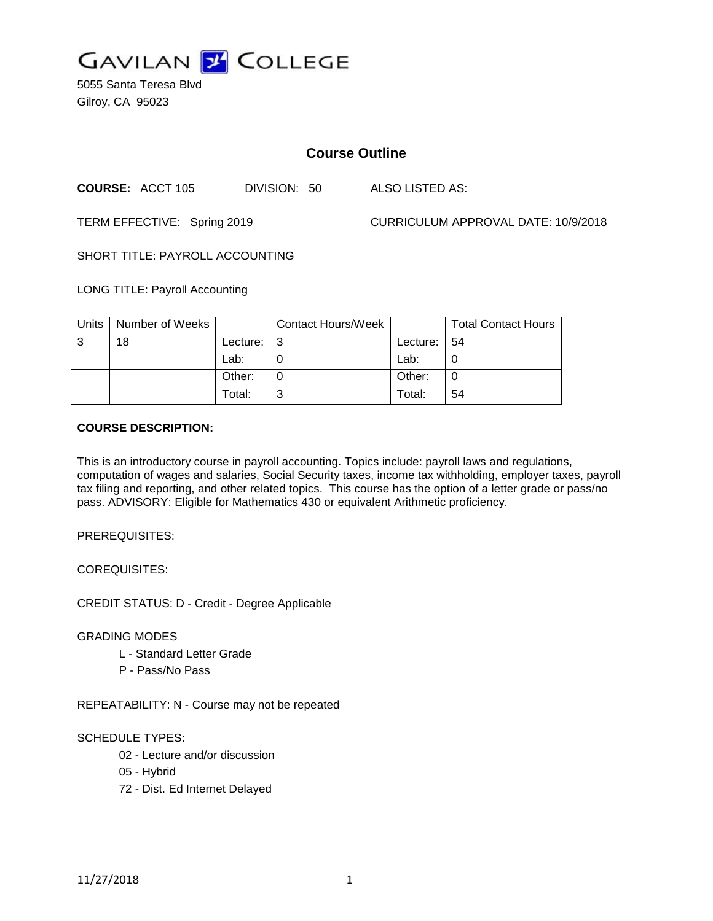

5055 Santa Teresa Blvd Gilroy, CA 95023

# **Course Outline**

**COURSE:** ACCT 105 DIVISION: 50 ALSO LISTED AS:

TERM EFFECTIVE: Spring 2019 CURRICULUM APPROVAL DATE: 10/9/2018

SHORT TITLE: PAYROLL ACCOUNTING

LONG TITLE: Payroll Accounting

| Units | Number of Weeks |          | <b>Contact Hours/Week</b> |                | <b>Total Contact Hours</b> |
|-------|-----------------|----------|---------------------------|----------------|----------------------------|
| 3     | 18              | Lecture: |                           | Lecture: $ 54$ |                            |
|       |                 | Lab:     |                           | Lab:           |                            |
|       |                 | Other:   |                           | Other:         |                            |
|       |                 | Total:   | ⌒                         | Total:         | 54                         |

### **COURSE DESCRIPTION:**

This is an introductory course in payroll accounting. Topics include: payroll laws and regulations, computation of wages and salaries, Social Security taxes, income tax withholding, employer taxes, payroll tax filing and reporting, and other related topics. This course has the option of a letter grade or pass/no pass. ADVISORY: Eligible for Mathematics 430 or equivalent Arithmetic proficiency.

PREREQUISITES:

COREQUISITES:

CREDIT STATUS: D - Credit - Degree Applicable

### GRADING MODES

- L Standard Letter Grade
- P Pass/No Pass

REPEATABILITY: N - Course may not be repeated

### SCHEDULE TYPES:

- 02 Lecture and/or discussion
- 05 Hybrid
- 72 Dist. Ed Internet Delayed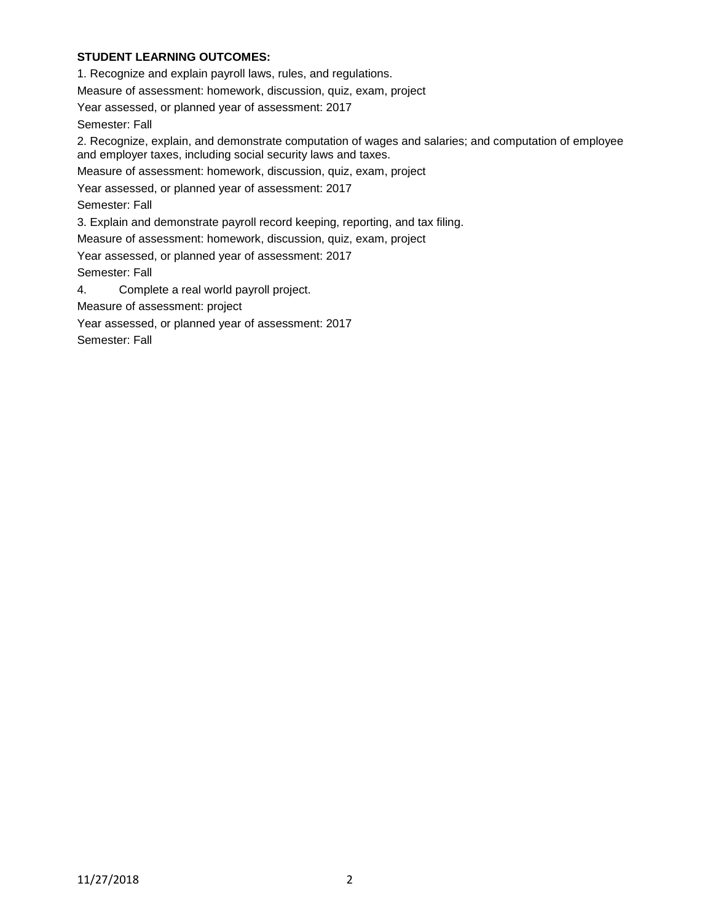# **STUDENT LEARNING OUTCOMES:**

1. Recognize and explain payroll laws, rules, and regulations.

Measure of assessment: homework, discussion, quiz, exam, project

Year assessed, or planned year of assessment: 2017

Semester: Fall

2. Recognize, explain, and demonstrate computation of wages and salaries; and computation of employee and employer taxes, including social security laws and taxes.

Measure of assessment: homework, discussion, quiz, exam, project

Year assessed, or planned year of assessment: 2017

Semester: Fall

3. Explain and demonstrate payroll record keeping, reporting, and tax filing.

Measure of assessment: homework, discussion, quiz, exam, project

Year assessed, or planned year of assessment: 2017

Semester: Fall

4. Complete a real world payroll project.

Measure of assessment: project

Year assessed, or planned year of assessment: 2017

Semester: Fall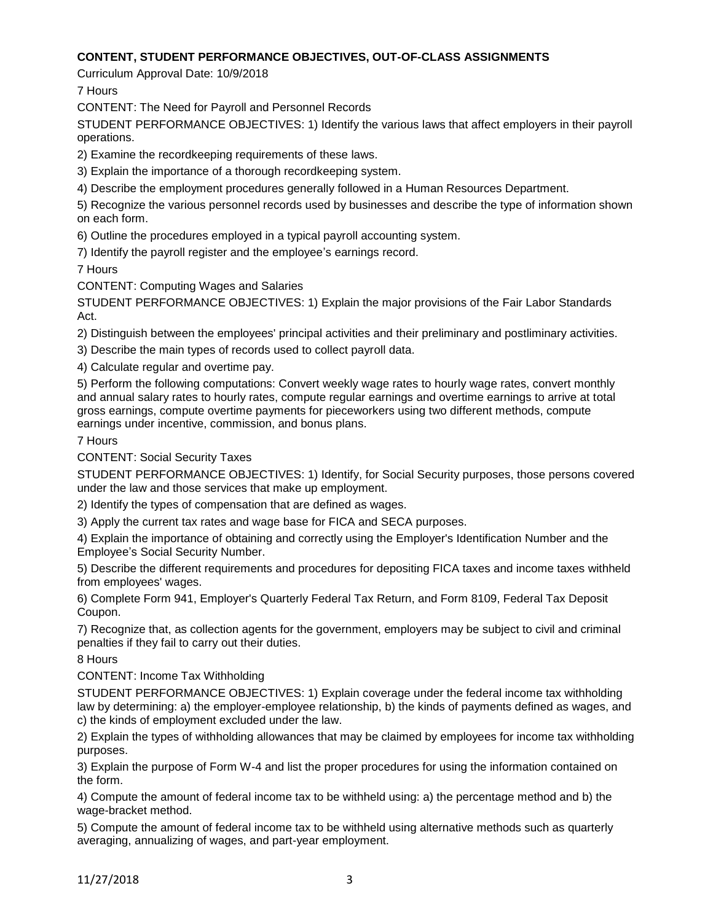# **CONTENT, STUDENT PERFORMANCE OBJECTIVES, OUT-OF-CLASS ASSIGNMENTS**

Curriculum Approval Date: 10/9/2018

7 Hours

CONTENT: The Need for Payroll and Personnel Records

STUDENT PERFORMANCE OBJECTIVES: 1) Identify the various laws that affect employers in their payroll operations.

2) Examine the recordkeeping requirements of these laws.

3) Explain the importance of a thorough recordkeeping system.

4) Describe the employment procedures generally followed in a Human Resources Department.

5) Recognize the various personnel records used by businesses and describe the type of information shown on each form.

6) Outline the procedures employed in a typical payroll accounting system.

7) Identify the payroll register and the employee's earnings record.

7 Hours

CONTENT: Computing Wages and Salaries

STUDENT PERFORMANCE OBJECTIVES: 1) Explain the major provisions of the Fair Labor Standards Act.

2) Distinguish between the employees' principal activities and their preliminary and postliminary activities.

3) Describe the main types of records used to collect payroll data.

4) Calculate regular and overtime pay.

5) Perform the following computations: Convert weekly wage rates to hourly wage rates, convert monthly and annual salary rates to hourly rates, compute regular earnings and overtime earnings to arrive at total gross earnings, compute overtime payments for pieceworkers using two different methods, compute earnings under incentive, commission, and bonus plans.

# 7 Hours

CONTENT: Social Security Taxes

STUDENT PERFORMANCE OBJECTIVES: 1) Identify, for Social Security purposes, those persons covered under the law and those services that make up employment.

2) Identify the types of compensation that are defined as wages.

3) Apply the current tax rates and wage base for FICA and SECA purposes.

4) Explain the importance of obtaining and correctly using the Employer's Identification Number and the Employee's Social Security Number.

5) Describe the different requirements and procedures for depositing FICA taxes and income taxes withheld from employees' wages.

6) Complete Form 941, Employer's Quarterly Federal Tax Return, and Form 8109, Federal Tax Deposit Coupon.

7) Recognize that, as collection agents for the government, employers may be subject to civil and criminal penalties if they fail to carry out their duties.

8 Hours

CONTENT: Income Tax Withholding

STUDENT PERFORMANCE OBJECTIVES: 1) Explain coverage under the federal income tax withholding law by determining: a) the employer-employee relationship, b) the kinds of payments defined as wages, and c) the kinds of employment excluded under the law.

2) Explain the types of withholding allowances that may be claimed by employees for income tax withholding purposes.

3) Explain the purpose of Form W-4 and list the proper procedures for using the information contained on the form.

4) Compute the amount of federal income tax to be withheld using: a) the percentage method and b) the wage-bracket method.

5) Compute the amount of federal income tax to be withheld using alternative methods such as quarterly averaging, annualizing of wages, and part-year employment.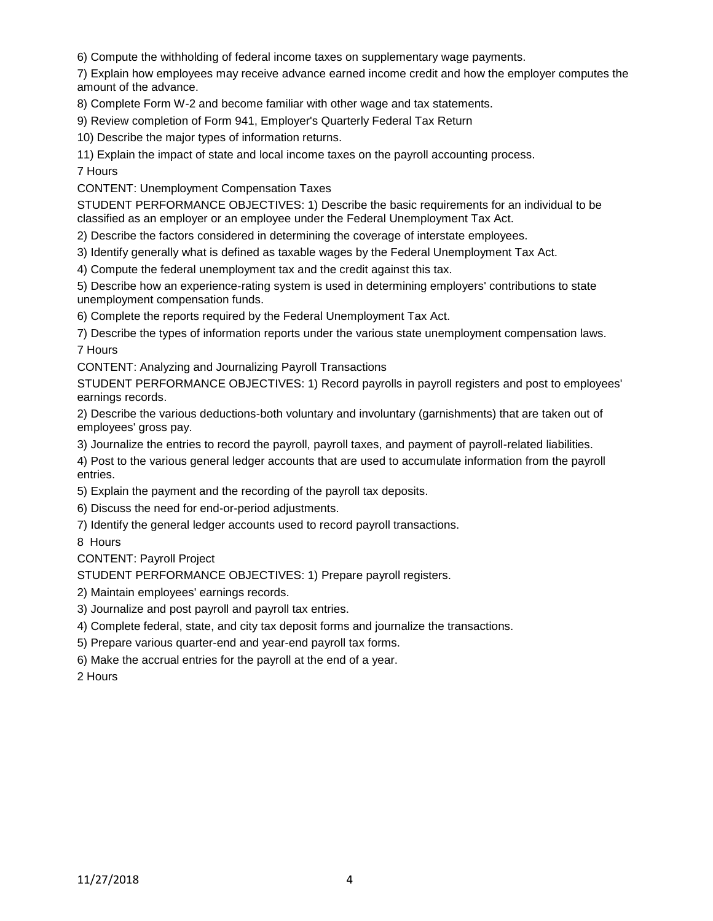6) Compute the withholding of federal income taxes on supplementary wage payments.

7) Explain how employees may receive advance earned income credit and how the employer computes the amount of the advance.

8) Complete Form W-2 and become familiar with other wage and tax statements.

9) Review completion of Form 941, Employer's Quarterly Federal Tax Return

10) Describe the major types of information returns.

11) Explain the impact of state and local income taxes on the payroll accounting process.

7 Hours

CONTENT: Unemployment Compensation Taxes

STUDENT PERFORMANCE OBJECTIVES: 1) Describe the basic requirements for an individual to be classified as an employer or an employee under the Federal Unemployment Tax Act.

2) Describe the factors considered in determining the coverage of interstate employees.

3) Identify generally what is defined as taxable wages by the Federal Unemployment Tax Act.

4) Compute the federal unemployment tax and the credit against this tax.

5) Describe how an experience-rating system is used in determining employers' contributions to state unemployment compensation funds.

6) Complete the reports required by the Federal Unemployment Tax Act.

7) Describe the types of information reports under the various state unemployment compensation laws. 7 Hours

CONTENT: Analyzing and Journalizing Payroll Transactions

STUDENT PERFORMANCE OBJECTIVES: 1) Record payrolls in payroll registers and post to employees' earnings records.

2) Describe the various deductions-both voluntary and involuntary (garnishments) that are taken out of employees' gross pay.

3) Journalize the entries to record the payroll, payroll taxes, and payment of payroll-related liabilities.

4) Post to the various general ledger accounts that are used to accumulate information from the payroll entries.

5) Explain the payment and the recording of the payroll tax deposits.

6) Discuss the need for end-or-period adjustments.

7) Identify the general ledger accounts used to record payroll transactions.

8 Hours

CONTENT: Payroll Project

STUDENT PERFORMANCE OBJECTIVES: 1) Prepare payroll registers.

2) Maintain employees' earnings records.

3) Journalize and post payroll and payroll tax entries.

4) Complete federal, state, and city tax deposit forms and journalize the transactions.

5) Prepare various quarter-end and year-end payroll tax forms.

6) Make the accrual entries for the payroll at the end of a year.

2 Hours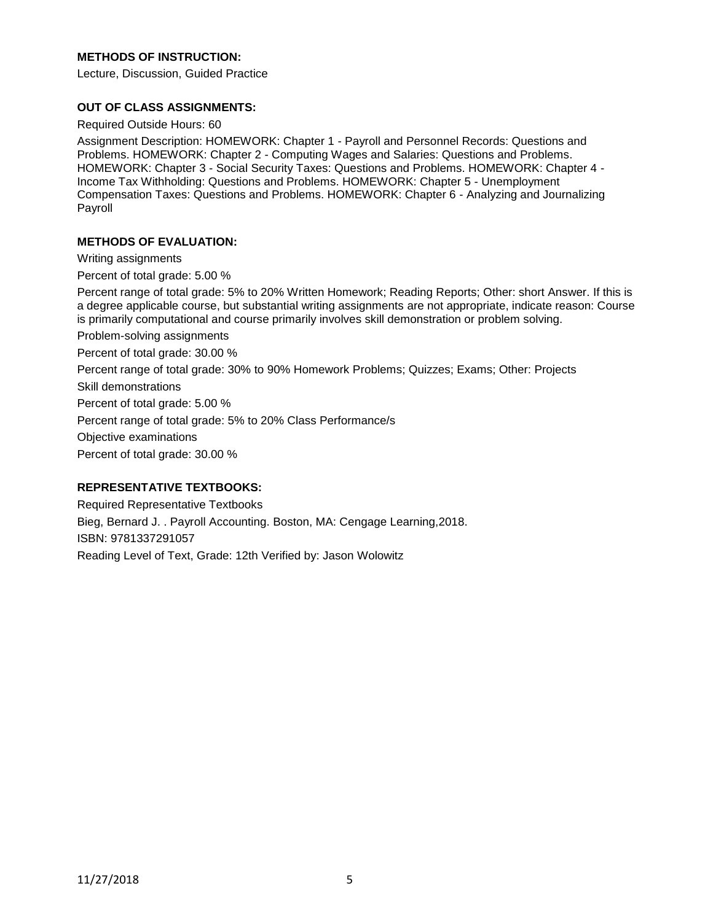# **METHODS OF INSTRUCTION:**

Lecture, Discussion, Guided Practice

#### **OUT OF CLASS ASSIGNMENTS:**

Required Outside Hours: 60

Assignment Description: HOMEWORK: Chapter 1 - Payroll and Personnel Records: Questions and Problems. HOMEWORK: Chapter 2 - Computing Wages and Salaries: Questions and Problems. HOMEWORK: Chapter 3 - Social Security Taxes: Questions and Problems. HOMEWORK: Chapter 4 - Income Tax Withholding: Questions and Problems. HOMEWORK: Chapter 5 - Unemployment Compensation Taxes: Questions and Problems. HOMEWORK: Chapter 6 - Analyzing and Journalizing Payroll

#### **METHODS OF EVALUATION:**

Writing assignments

Percent of total grade: 5.00 %

Percent range of total grade: 5% to 20% Written Homework; Reading Reports; Other: short Answer. If this is a degree applicable course, but substantial writing assignments are not appropriate, indicate reason: Course is primarily computational and course primarily involves skill demonstration or problem solving.

Problem-solving assignments

Percent of total grade: 30.00 %

Percent range of total grade: 30% to 90% Homework Problems; Quizzes; Exams; Other: Projects

Skill demonstrations

Percent of total grade: 5.00 %

Percent range of total grade: 5% to 20% Class Performance/s

Objective examinations

Percent of total grade: 30.00 %

### **REPRESENTATIVE TEXTBOOKS:**

Required Representative Textbooks Bieg, Bernard J. . Payroll Accounting. Boston, MA: Cengage Learning,2018. ISBN: 9781337291057 Reading Level of Text, Grade: 12th Verified by: Jason Wolowitz